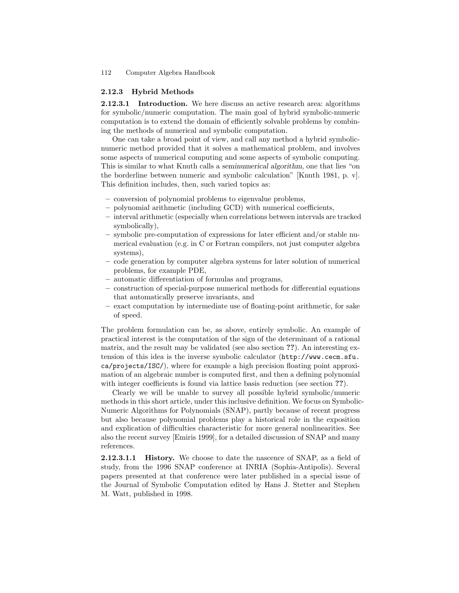### 2.12.3 Hybrid Methods

2.12.3.1 Introduction. We here discuss an active research area: algorithms for symbolic/numeric computation. The main goal of hybrid symbolic-numeric computation is to extend the domain of efficiently solvable problems by combining the methods of numerical and symbolic computation.

One can take a broad point of view, and call any method a hybrid symbolicnumeric method provided that it solves a mathematical problem, and involves some aspects of numerical computing and some aspects of symbolic computing. This is similar to what Knuth calls a seminumerical algorithm, one that lies "on the borderline between numeric and symbolic calculation" [Knuth 1981, p. v]. This definition includes, then, such varied topics as:

- conversion of polynomial problems to eigenvalue problems,
- polynomial arithmetic (including GCD) with numerical coefficients,
- interval arithmetic (especially when correlations between intervals are tracked symbolically),
- symbolic pre-computation of expressions for later efficient and/or stable numerical evaluation (e.g. in C or Fortran compilers, not just computer algebra systems),
- code generation by computer algebra systems for later solution of numerical problems, for example PDE,
- automatic differentiation of formulas and programs,
- construction of special-purpose numerical methods for differential equations that automatically preserve invariants, and
- exact computation by intermediate use of floating-point arithmetic, for sake of speed.

The problem formulation can be, as above, entirely symbolic. An example of practical interest is the computation of the sign of the determinant of a rational matrix, and the result may be validated (see also section ??). An interesting extension of this idea is the inverse symbolic calculator (http://www.cecm.sfu. ca/projects/ISC/), where for example a high precision floating point approximation of an algebraic number is computed first, and then a defining polynomial with integer coefficients is found via lattice basis reduction (see section ??).

Clearly we will be unable to survey all possible hybrid symbolic/numeric methods in this short article, under this inclusive definition. We focus on Symbolic-Numeric Algorithms for Polynomials (SNAP), partly because of recent progress but also because polynomial problems play a historical role in the exposition and explication of difficulties characteristic for more general nonlinearities. See also the recent survey [Emiris 1999], for a detailed discussion of SNAP and many references.

2.12.3.1.1 History. We choose to date the nascence of SNAP, as a field of study, from the 1996 SNAP conference at INRIA (Sophia-Antipolis). Several papers presented at that conference were later published in a special issue of the Journal of Symbolic Computation edited by Hans J. Stetter and Stephen M. Watt, published in 1998.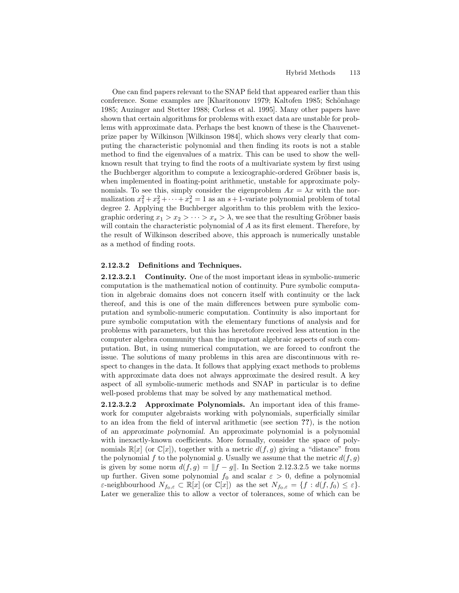One can find papers relevant to the SNAP field that appeared earlier than this conference. Some examples are [Kharitononv 1979; Kaltofen 1985; Schönhage 1985; Auzinger and Stetter 1988; Corless et al. 1995]. Many other papers have shown that certain algorithms for problems with exact data are unstable for problems with approximate data. Perhaps the best known of these is the Chauvenetprize paper by Wilkinson [Wilkinson 1984], which shows very clearly that computing the characteristic polynomial and then finding its roots is not a stable method to find the eigenvalues of a matrix. This can be used to show the wellknown result that trying to find the roots of a multivariate system by first using the Buchberger algorithm to compute a lexicographic-ordered Gröbner basis is, when implemented in floating-point arithmetic, unstable for approximate polynomials. To see this, simply consider the eigenproblem  $Ax = \lambda x$  with the normalization  $x_1^2 + x_2^2 + \cdots + x_s^2 = 1$  as an  $s + 1$ -variate polynomial problem of total degree 2. Applying the Buchberger algorithm to this problem with the lexicographic ordering  $x_1 > x_2 > \cdots > x_s > \lambda$ , we see that the resulting Gröbner basis will contain the characteristic polynomial of A as its first element. Therefore, by the result of Wilkinson described above, this approach is numerically unstable as a method of finding roots.

## 2.12.3.2 Definitions and Techniques.

2.12.3.2.1 Continuity. One of the most important ideas in symbolic-numeric computation is the mathematical notion of continuity. Pure symbolic computation in algebraic domains does not concern itself with continuity or the lack thereof, and this is one of the main differences between pure symbolic computation and symbolic-numeric computation. Continuity is also important for pure symbolic computation with the elementary functions of analysis and for problems with parameters, but this has heretofore received less attention in the computer algebra community than the important algebraic aspects of such computation. But, in using numerical computation, we are forced to confront the issue. The solutions of many problems in this area are discontinuous with respect to changes in the data. It follows that applying exact methods to problems with approximate data does not always approximate the desired result. A key aspect of all symbolic-numeric methods and SNAP in particular is to define well-posed problems that may be solved by any mathematical method.

2.12.3.2.2 Approximate Polynomials. An important idea of this framework for computer algebraists working with polynomials, superficially similar to an idea from the field of interval arithmetic (see section ??), is the notion of an approximate polynomial. An approximate polynomial is a polynomial with inexactly-known coefficients. More formally, consider the space of polynomials  $\mathbb{R}[x]$  (or  $\mathbb{C}[x]$ ), together with a metric  $d(f,g)$  giving a "distance" from the polynomial f to the polynomial g. Usually we assume that the metric  $d(f, g)$ is given by some norm  $d(f, g) = ||f - g||$ . In Section 2.12.3.2.5 we take norms up further. Given some polynomial  $f_0$  and scalar  $\varepsilon > 0$ , define a polynomial ε-neighbourhood  $N_{f_0,\varepsilon} \subset \mathbb{R}[x]$  (or  $\mathbb{C}[x]$ ) as the set  $N_{f_0,\varepsilon} = \{f : d(f,f_0) \leq \varepsilon\}.$ Later we generalize this to allow a vector of tolerances, some of which can be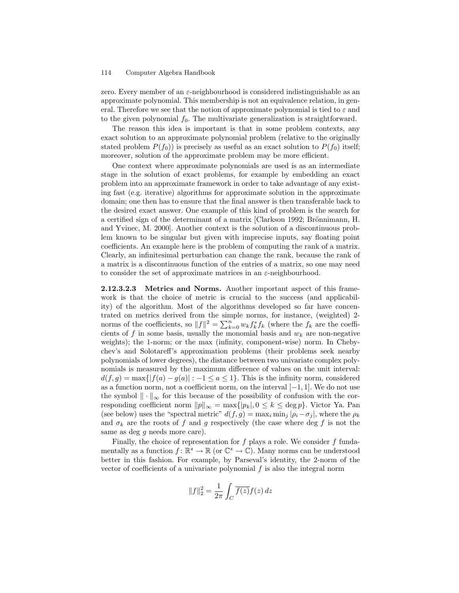zero. Every member of an  $\varepsilon$ -neighbourhood is considered indistinguishable as an approximate polynomial. This membership is not an equivalence relation, in general. Therefore we see that the notion of approximate polynomial is tied to  $\varepsilon$  and to the given polynomial  $f_0$ . The multivariate generalization is straightforward.

The reason this idea is important is that in some problem contexts, any exact solution to an approximate polynomial problem (relative to the originally stated problem  $P(f_0)$  is precisely as useful as an exact solution to  $P(f_0)$  itself; moreover, solution of the approximate problem may be more efficient.

One context where approximate polynomials are used is as an intermediate stage in the solution of exact problems, for example by embedding an exact problem into an approximate framework in order to take advantage of any existing fast (e.g. iterative) algorithms for approximate solution in the approximate domain; one then has to ensure that the final answer is then transferable back to the desired exact answer. One example of this kind of problem is the search for a certified sign of the determinant of a matrix [Clarkson 1992; Brönnimann, H. and Yvinec, M. 2000]. Another context is the solution of a discontinuous problem known to be singular but given with imprecise inputs, say floating point coefficients. An example here is the problem of computing the rank of a matrix. Clearly, an infinitesimal perturbation can change the rank, because the rank of a matrix is a discontinuous function of the entries of a matrix, so one may need to consider the set of approximate matrices in an  $\varepsilon$ -neighbourhood.

2.12.3.2.3 Metrics and Norms. Another important aspect of this framework is that the choice of metric is crucial to the success (and applicability) of the algorithm. Most of the algorithms developed so far have concentrated on metrics derived from the simple norms, for instance, (weighted) 2 norms of the coefficients, so  $||f||^2 = \sum_{k=0}^{n} w_k f_k^* f_k$  (where the  $f_k$  are the coefficients of f in some basis, usually the monomial basis and  $w_k$  are non-negative weights); the 1-norm; or the max (infinity, component-wise) norm. In Chebychev's and Solotareff's approximation problems (their problems seek nearby polynomials of lower degrees), the distance between two univariate complex polynomials is measured by the maximum difference of values on the unit interval:  $d(f, g) = \max\{|f(a) - g(a)| : -1 \le a \le 1\}.$  This is the infinity norm, considered as a function norm, not a coefficient norm, on the interval  $[-1, 1]$ . We do not use the symbol  $\|\cdot\|_{\infty}$  for this because of the possibility of confusion with the corresponding coefficient norm  $||p||_{\infty} = \max\{|p_k|, 0 \leq k \leq \deg p\}$ . Victor Ya. Pan (see below) uses the "spectral metric"  $d(f, g) = \max_i \min_j |\rho_i - \sigma_j|$ , where the  $\rho_k$ and  $\sigma_k$  are the roots of f and g respectively (the case where deg f is not the same as deg g needs more care).

Finally, the choice of representation for  $f$  plays a role. We consider  $f$  fundamentally as a function  $f: \mathbb{R}^s \to \mathbb{R}$  (or  $\mathbb{C}^s \to \mathbb{C}$ ). Many norms can be understood better in this fashion. For example, by Parseval's identity, the 2-norm of the vector of coefficients of a univariate polynomial  $f$  is also the integral norm

$$
||f||_2^2 = \frac{1}{2\pi} \int_C \overline{f(z)} f(z) dz
$$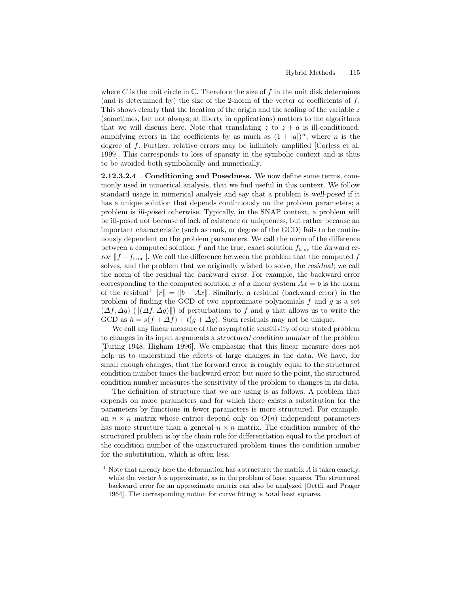where C is the unit circle in  $\mathbb C$ . Therefore the size of f in the unit disk determines (and is determined by) the size of the 2-norm of the vector of coefficients of  $f$ . This shows clearly that the location of the origin and the scaling of the variable  $z$ (sometimes, but not always, at liberty in applications) matters to the algorithms that we will discuss here. Note that translating z to  $z + a$  is ill-conditioned, amplifying errors in the coefficients by as much as  $(1+|a|)^n$ , where *n* is the degree of f. Further, relative errors may be infinitely amplified [Corless et al. 1999]. This corresponds to loss of sparsity in the symbolic context and is thus to be avoided both symbolically and numerically.

2.12.3.2.4 Conditioning and Posedness. We now define some terms, commonly used in numerical analysis, that we find useful in this context. We follow standard usage in numerical analysis and say that a problem is well-posed if it has a unique solution that depends continuously on the problem parameters; a problem is ill-posed otherwise. Typically, in the SNAP context, a problem will be ill-posed not because of lack of existence or uniqueness, but rather because an important characteristic (such as rank, or degree of the GCD) fails to be continuously dependent on the problem parameters. We call the norm of the difference between a computed solution f and the true, exact solution  $f_{\text{true}}$  the forward error  $||f - f_{true}||$ . We call the difference between the problem that the computed f solves, and the problem that we originally wished to solve, the residual; we call the norm of the residual the backward error. For example, the backward error corresponding to the computed solution x of a linear system  $Ax = b$  is the norm of the residual<sup>1</sup>  $||r|| = ||b - Ax||$ . Similarly, a residual (backward error) in the problem of finding the GCD of two approximate polynomials  $f$  and  $q$  is a set  $(\Delta f, \Delta q)$  ( $\|(\Delta f, \Delta q)\|$ ) of perturbations to f and g that allows us to write the GCD as  $h = s(f + \Delta f) + t(g + \Delta g)$ . Such residuals may not be unique.

We call any linear measure of the asymptotic sensitivity of our stated problem to changes in its input arguments a structured condition number of the problem [Turing 1948; Higham 1996]. We emphasize that this linear measure does not help us to understand the effects of large changes in the data. We have, for small enough changes, that the forward error is roughly equal to the structured condition number times the backward error; but more to the point, the structured condition number measures the sensitivity of the problem to changes in its data.

The definition of structure that we are using is as follows. A problem that depends on more parameters and for which there exists a substitution for the parameters by functions in fewer parameters is more structured. For example, an  $n \times n$  matrix whose entries depend only on  $O(n)$  independent parameters has more structure than a general  $n \times n$  matrix. The condition number of the structured problem is by the chain rule for differentiation equal to the product of the condition number of the unstructured problem times the condition number for the substitution, which is often less.

 $1$  Note that already here the deformation has a structure: the matrix  $A$  is taken exactly, while the vector  $b$  is approximate, as in the problem of least squares. The structured backward error for an approximate matrix can also be analyzed [Oettli and Prager 1964]. The corresponding notion for curve fitting is total least squares.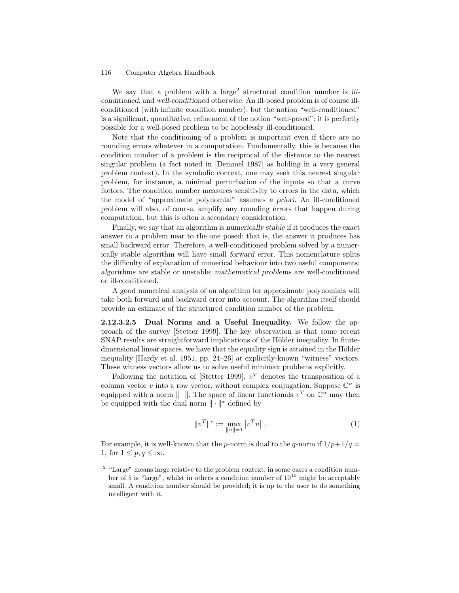We say that a problem with a large<sup>2</sup> structured condition number is illconditioned, and well-conditioned otherwise. An ill-posed problem is of course illconditioned (with infinite condition number); but the notion "well-conditioned" is a significant, quantitative, refinement of the notion "well-posed"; it is perfectly possible for a well-posed problem to be hopelessly ill-conditioned.

Note that the conditioning of a problem is important even if there are no rounding errors whatever in a computation. Fundamentally, this is because the condition number of a problem is the reciprocal of the distance to the nearest singular problem (a fact noted in [Demmel 1987] as holding in a very general problem context). In the symbolic context, one may seek this nearest singular problem, for instance, a minimal perturbation of the inputs so that a curve factors. The condition number measures sensitivity to errors in the data, which the model of "approximate polynomial" assumes a priori. An ill-conditioned problem will also, of course, amplify any rounding errors that happen during computation, but this is often a secondary consideration.

Finally, we say that an algorithm is numerically stable if it produces the exact answer to a problem near to the one posed: that is, the answer it produces has small backward error. Therefore, a well-conditioned problem solved by a numerically stable algorithm will have small forward error. This nomenclature splits the difficulty of explanation of numerical behaviour into two useful components: algorithms are stable or unstable; mathematical problems are well-conditioned or ill-conditioned.

A good numerical analysis of an algorithm for approximate polynomials will take both forward and backward error into account. The algorithm itself should provide an estimate of the structured condition number of the problem.

2.12.3.2.5 Dual Norms and a Useful Inequality. We follow the approach of the survey [Stetter 1999]. The key observation is that some recent SNAP results are straightforward implications of the Hölder inequality. In finitedimensional linear spaces, we have that the equality sign is attained in the Hölder inequality [Hardy et al. 1951, pp. 24–26] at explicitly-known "witness" vectors. These witness vectors allow us to solve useful minimax problems explicitly.

Following the notation of [Stetter 1999],  $v<sup>T</sup>$  denotes the transposition of a column vector  $v$  into a row vector, without complex conjugation. Suppose  $\mathbb{C}^n$  is equipped with a norm  $\|\cdot\|$ . The space of linear functionals  $v^T$  on  $\mathbb{C}^n$  may then be equipped with the dual norm  $\|\cdot\|^*$  defined by

$$
||v^T||^* := \max_{||u||=1} |v^T u| \tag{1}
$$

For example, it is well-known that the p-norm is dual to the q-norm if  $1/p+1/q$ 1, for  $1 \leq p, q \leq \infty$ .

<sup>&</sup>lt;sup>2</sup> "Large" means large relative to the problem context; in some cases a condition number of 5 is "large", whilst in others a condition number of  $10^{10}$  might be acceptably small. A condition number should be provided; it is up to the user to do something intelligent with it.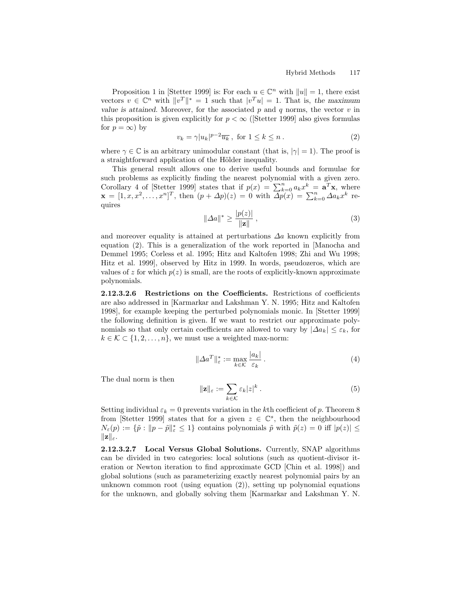Proposition 1 in [Stetter 1999] is: For each  $u \in \mathbb{C}^n$  with  $||u|| = 1$ , there exist vectors  $v \in \mathbb{C}^n$  with  $||v^T||^* = 1$  such that  $|v^T u| = 1$ . That is, the maximum value is attained. Moreover, for the associated  $p$  and  $q$  norms, the vector  $v$  in this proposition is given explicitly for  $p < \infty$  ([Stetter 1999] also gives formulas for  $p = \infty$ ) by

$$
v_k = \gamma |u_k|^{p-2} \overline{u_k} , \text{ for } 1 \le k \le n . \tag{2}
$$

where  $\gamma \in \mathbb{C}$  is an arbitrary unimodular constant (that is,  $|\gamma|=1$ ). The proof is a straightforward application of the Hölder inequality.

This general result allows one to derive useful bounds and formulae for such problems as explicitly finding the nearest polynomial with a given zero. Corollary 4 of [Stetter 1999] states that if  $p(x) = \sum_{k=0}^{n} a_k x^k = \mathbf{a}^T \mathbf{x}$ , where  $\mathbf{x} = [1, x, x^2, \dots, x^n]^T$ , then  $(p + \Delta p)(z) = 0$  with  $\overline{\Delta p(x)} = \sum_{k=0}^n \Delta a_k x^k$  requires

$$
\|\Delta a\|^* \ge \frac{|p(z)|}{\|\mathbf{z}\|},\tag{3}
$$

and moreover equality is attained at perturbations  $\Delta a$  known explicitly from equation (2). This is a generalization of the work reported in [Manocha and Demmel 1995; Corless et al. 1995; Hitz and Kaltofen 1998; Zhi and Wu 1998; Hitz et al. 1999], observed by Hitz in 1999. In words, pseudozeros, which are values of z for which  $p(z)$  is small, are the roots of explicitly-known approximate polynomials.

2.12.3.2.6 Restrictions on the Coefficients. Restrictions of coefficients are also addressed in [Karmarkar and Lakshman Y. N. 1995; Hitz and Kaltofen 1998], for example keeping the perturbed polynomials monic. In [Stetter 1999] the following definition is given. If we want to restrict our approximate polynomials so that only certain coefficients are allowed to vary by  $|\Delta a_k| \leq \varepsilon_k$ , for  $k \in \mathcal{K} \subset \{1, 2, \ldots, n\}$ , we must use a weighted max-norm:

$$
\|\Delta a^T\|_{\varepsilon}^* := \max_{k \in \mathcal{K}} \frac{|a_k|}{\varepsilon_k} \,. \tag{4}
$$

The dual norm is then

$$
\|\mathbf{z}\|_{\varepsilon} := \sum_{k \in \mathcal{K}} \varepsilon_k |z|^k \,. \tag{5}
$$

Setting individual  $\varepsilon_k = 0$  prevents variation in the kth coefficient of p. Theorem 8 from [Stetter 1999] states that for a given  $z \in \mathbb{C}^s$ , then the neighbourhood  $N_{\varepsilon}(p) := \{\tilde{p} : ||p - \tilde{p}||_{\varepsilon}^* \leq 1\}$  contains polynomials  $\tilde{p}$  with  $\tilde{p}(z) = 0$  iff  $|p(z)| \leq$  $\|\mathbf{z}\|_{\varepsilon}$ .

2.12.3.2.7 Local Versus Global Solutions. Currently, SNAP algorithms can be divided in two categories: local solutions (such as quotient-divisor iteration or Newton iteration to find approximate GCD [Chin et al. 1998]) and global solutions (such as parameterizing exactly nearest polynomial pairs by an unknown common root (using equation (2)), setting up polynomial equations for the unknown, and globally solving them [Karmarkar and Lakshman Y. N.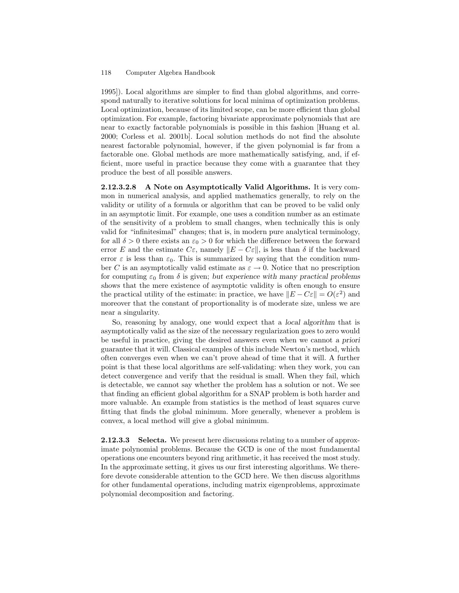1995]). Local algorithms are simpler to find than global algorithms, and correspond naturally to iterative solutions for local minima of optimization problems. Local optimization, because of its limited scope, can be more efficient than global optimization. For example, factoring bivariate approximate polynomials that are near to exactly factorable polynomials is possible in this fashion [Huang et al. 2000; Corless et al. 2001b]. Local solution methods do not find the absolute nearest factorable polynomial, however, if the given polynomial is far from a factorable one. Global methods are more mathematically satisfying, and, if efficient, more useful in practice because they come with a guarantee that they produce the best of all possible answers.

2.12.3.2.8 A Note on Asymptotically Valid Algorithms. It is very common in numerical analysis, and applied mathematics generally, to rely on the validity or utility of a formula or algorithm that can be proved to be valid only in an asymptotic limit. For example, one uses a condition number as an estimate of the sensitivity of a problem to small changes, when technically this is only valid for "infinitesimal" changes; that is, in modern pure analytical terminology, for all  $\delta > 0$  there exists an  $\varepsilon_0 > 0$  for which the difference between the forward error E and the estimate  $C\varepsilon$ , namely  $||E - C\varepsilon||$ , is less than  $\delta$  if the backward error  $\varepsilon$  is less than  $\varepsilon_0$ . This is summarized by saying that the condition number C is an asymptotically valid estimate as  $\varepsilon \to 0$ . Notice that no prescription for computing  $\varepsilon_0$  from  $\delta$  is given; but experience with many practical problems shows that the mere existence of asymptotic validity is often enough to ensure the practical utility of the estimate: in practice, we have  $||E - C\varepsilon|| = O(\varepsilon^2)$  and moreover that the constant of proportionality is of moderate size, unless we are near a singularity.

So, reasoning by analogy, one would expect that a local algorithm that is asymptotically valid as the size of the necessary regularization goes to zero would be useful in practice, giving the desired answers even when we cannot a priori guarantee that it will. Classical examples of this include Newton's method, which often converges even when we can't prove ahead of time that it will. A further point is that these local algorithms are self-validating: when they work, you can detect convergence and verify that the residual is small. When they fail, which is detectable, we cannot say whether the problem has a solution or not. We see that finding an efficient global algorithm for a SNAP problem is both harder and more valuable. An example from statistics is the method of least squares curve fitting that finds the global minimum. More generally, whenever a problem is convex, a local method will give a global minimum.

2.12.3.3 Selecta. We present here discussions relating to a number of approximate polynomial problems. Because the GCD is one of the most fundamental operations one encounters beyond ring arithmetic, it has received the most study. In the approximate setting, it gives us our first interesting algorithms. We therefore devote considerable attention to the GCD here. We then discuss algorithms for other fundamental operations, including matrix eigenproblems, approximate polynomial decomposition and factoring.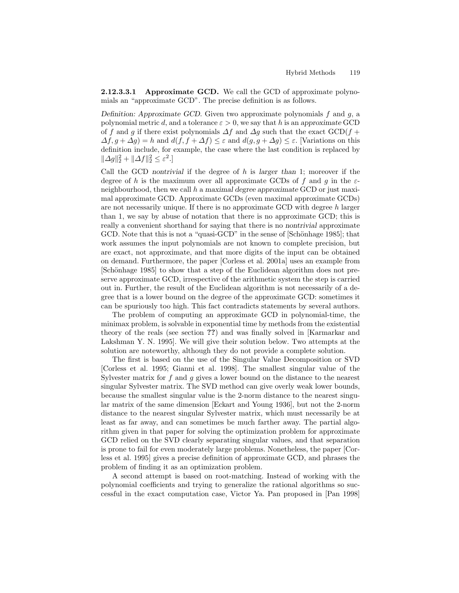2.12.3.3.1 Approximate GCD. We call the GCD of approximate polynomials an "approximate GCD". The precise definition is as follows.

Definition: Approximate GCD. Given two approximate polynomials  $f$  and  $g$ , a polynomial metric d, and a tolerance  $\varepsilon > 0$ , we say that h is an approximate GCD of f and g if there exist polynomials  $\Delta f$  and  $\Delta g$  such that the exact GCD(f +  $\Delta f, g + \Delta g$  = h and  $d(f, f + \Delta f) \leq \varepsilon$  and  $d(g, g + \Delta g) \leq \varepsilon$ . [Variations on this definition include, for example, the case where the last condition is replaced by  $\|\varDelta g\|_2^2+\|\varDelta f\|_2^2\leq\varepsilon^2.$ 

Call the GCD nontrivial if the degree of  $h$  is larger than 1; moreover if the degree of h is the maximum over all approximate GCDs of f and g in the  $\varepsilon$ neighbourhood, then we call  $h$  a maximal degree approximate GCD or just maximal approximate GCD. Approximate GCDs (even maximal approximate GCDs) are not necessarily unique. If there is no approximate GCD with degree h larger than 1, we say by abuse of notation that there is no approximate GCD; this is really a convenient shorthand for saying that there is no nontrivial approximate GCD. Note that this is not a "quasi-GCD" in the sense of [Schönhage 1985]; that work assumes the input polynomials are not known to complete precision, but are exact, not approximate, and that more digits of the input can be obtained on demand. Furthermore, the paper [Corless et al. 2001a] uses an example from [Schönhage 1985] to show that a step of the Euclidean algorithm does not preserve approximate GCD, irrespective of the arithmetic system the step is carried out in. Further, the result of the Euclidean algorithm is not necessarily of a degree that is a lower bound on the degree of the approximate GCD: sometimes it can be spuriously too high. This fact contradicts statements by several authors.

The problem of computing an approximate GCD in polynomial-time, the minimax problem, is solvable in exponential time by methods from the existential theory of the reals (see section ??) and was finally solved in [Karmarkar and Lakshman Y. N. 1995]. We will give their solution below. Two attempts at the solution are noteworthy, although they do not provide a complete solution.

The first is based on the use of the Singular Value Decomposition or SVD [Corless et al. 1995; Gianni et al. 1998]. The smallest singular value of the Sylvester matrix for  $f$  and  $g$  gives a lower bound on the distance to the nearest singular Sylvester matrix. The SVD method can give overly weak lower bounds, because the smallest singular value is the 2-norm distance to the nearest singular matrix of the same dimension [Eckart and Young 1936], but not the 2-norm distance to the nearest singular Sylvester matrix, which must necessarily be at least as far away, and can sometimes be much farther away. The partial algorithm given in that paper for solving the optimization problem for approximate GCD relied on the SVD clearly separating singular values, and that separation is prone to fail for even moderately large problems. Nonetheless, the paper [Corless et al. 1995] gives a precise definition of approximate GCD, and phrases the problem of finding it as an optimization problem.

A second attempt is based on root-matching. Instead of working with the polynomial coefficients and trying to generalize the rational algorithms so successful in the exact computation case, Victor Ya. Pan proposed in [Pan 1998]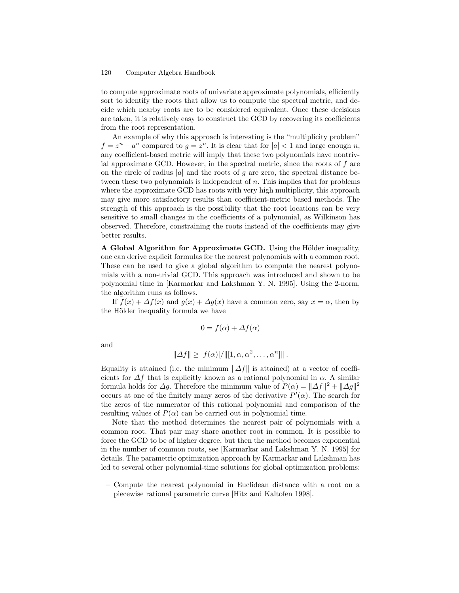to compute approximate roots of univariate approximate polynomials, efficiently sort to identify the roots that allow us to compute the spectral metric, and decide which nearby roots are to be considered equivalent. Once these decisions are taken, it is relatively easy to construct the GCD by recovering its coefficients from the root representation.

An example of why this approach is interesting is the "multiplicity problem"  $f = z^n - a^n$  compared to  $g = z^n$ . It is clear that for  $|a| < 1$  and large enough n, any coefficient-based metric will imply that these two polynomials have nontrivial approximate GCD. However, in the spectral metric, since the roots of  $f$  are on the circle of radius  $|a|$  and the roots of g are zero, the spectral distance between these two polynomials is independent of n. This implies that for problems where the approximate GCD has roots with very high multiplicity, this approach may give more satisfactory results than coefficient-metric based methods. The strength of this approach is the possibility that the root locations can be very sensitive to small changes in the coefficients of a polynomial, as Wilkinson has observed. Therefore, constraining the roots instead of the coefficients may give better results.

A Global Algorithm for Approximate GCD. Using the Hölder inequality, one can derive explicit formulas for the nearest polynomials with a common root. These can be used to give a global algorithm to compute the nearest polynomials with a non-trivial GCD. This approach was introduced and shown to be polynomial time in [Karmarkar and Lakshman Y. N. 1995]. Using the 2-norm, the algorithm runs as follows.

If  $f(x) + \Delta f(x)$  and  $g(x) + \Delta g(x)$  have a common zero, say  $x = \alpha$ , then by the Hölder inequality formula we have

$$
0 = f(\alpha) + \Delta f(\alpha)
$$

and

$$
||\Delta f|| \geq |f(\alpha)|/||[1,\alpha,\alpha^2,\ldots,\alpha^n]||.
$$

Equality is attained (i.e. the minimum  $\|\Delta f\|$  is attained) at a vector of coefficients for  $\Delta f$  that is explicitly known as a rational polynomial in  $\alpha$ . A similar formula holds for  $\Delta g$ . Therefore the minimum value of  $P(\alpha) = ||\Delta f||^2 + ||\Delta g||^2$ occurs at one of the finitely many zeros of the derivative  $P'(\alpha)$ . The search for the zeros of the numerator of this rational polynomial and comparison of the resulting values of  $P(\alpha)$  can be carried out in polynomial time.

Note that the method determines the nearest pair of polynomials with a common root. That pair may share another root in common. It is possible to force the GCD to be of higher degree, but then the method becomes exponential in the number of common roots, see [Karmarkar and Lakshman Y. N. 1995] for details. The parametric optimization approach by Karmarkar and Lakshman has led to several other polynomial-time solutions for global optimization problems:

– Compute the nearest polynomial in Euclidean distance with a root on a piecewise rational parametric curve [Hitz and Kaltofen 1998].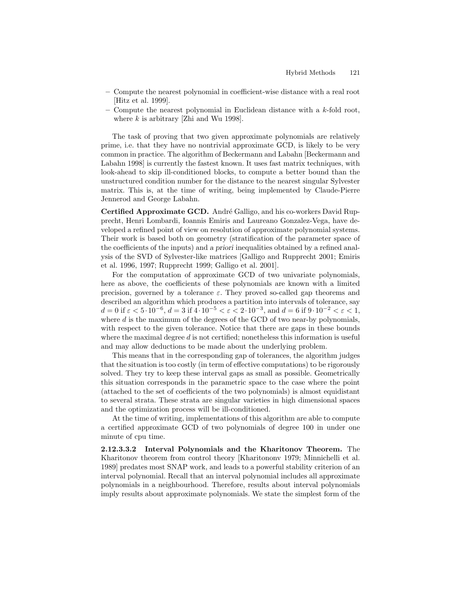- Compute the nearest polynomial in coefficient-wise distance with a real root [Hitz et al. 1999].
- Compute the nearest polynomial in Euclidean distance with a  $k$ -fold root, where k is arbitrary [Zhi and Wu 1998].

The task of proving that two given approximate polynomials are relatively prime, i.e. that they have no nontrivial approximate GCD, is likely to be very common in practice. The algorithm of Beckermann and Labahn [Beckermann and Labahn 1998] is currently the fastest known. It uses fast matrix techniques, with look-ahead to skip ill-conditioned blocks, to compute a better bound than the unstructured condition number for the distance to the nearest singular Sylvester matrix. This is, at the time of writing, being implemented by Claude-Pierre Jennerod and George Labahn.

Certified Approximate GCD. André Galligo, and his co-workers David Rupprecht, Henri Lombardi, Ioannis Emiris and Laureano Gonzalez-Vega, have developed a refined point of view on resolution of approximate polynomial systems. Their work is based both on geometry (stratification of the parameter space of the coefficients of the inputs) and a priori inequalities obtained by a refined analysis of the SVD of Sylvester-like matrices [Galligo and Rupprecht 2001; Emiris et al. 1996, 1997; Rupprecht 1999; Galligo et al. 2001].

For the computation of approximate GCD of two univariate polynomials, here as above, the coefficients of these polynomials are known with a limited precision, governed by a tolerance  $\varepsilon$ . They proved so-called gap theorems and described an algorithm which produces a partition into intervals of tolerance, say  $d = 0$  if  $\varepsilon < 5 \cdot 10^{-6}$ ,  $d = 3$  if  $4 \cdot 10^{-5} < \varepsilon < 2 \cdot 10^{-3}$ , and  $d = 6$  if  $9 \cdot 10^{-2} < \varepsilon < 1$ , where  $d$  is the maximum of the degrees of the GCD of two near-by polynomials, with respect to the given tolerance. Notice that there are gaps in these bounds where the maximal degree  $d$  is not certified; nonetheless this information is useful and may allow deductions to be made about the underlying problem.

This means that in the corresponding gap of tolerances, the algorithm judges that the situation is too costly (in term of effective computations) to be rigorously solved. They try to keep these interval gaps as small as possible. Geometrically this situation corresponds in the parametric space to the case where the point (attached to the set of coefficients of the two polynomials) is almost equidistant to several strata. These strata are singular varieties in high dimensional spaces and the optimization process will be ill-conditioned.

At the time of writing, implementations of this algorithm are able to compute a certified approximate GCD of two polynomials of degree 100 in under one minute of cpu time.

2.12.3.3.2 Interval Polynomials and the Kharitonov Theorem. The Kharitonov theorem from control theory [Kharitononv 1979; Minnichelli et al. 1989] predates most SNAP work, and leads to a powerful stability criterion of an interval polynomial. Recall that an interval polynomial includes all approximate polynomials in a neighbourhood. Therefore, results about interval polynomials imply results about approximate polynomials. We state the simplest form of the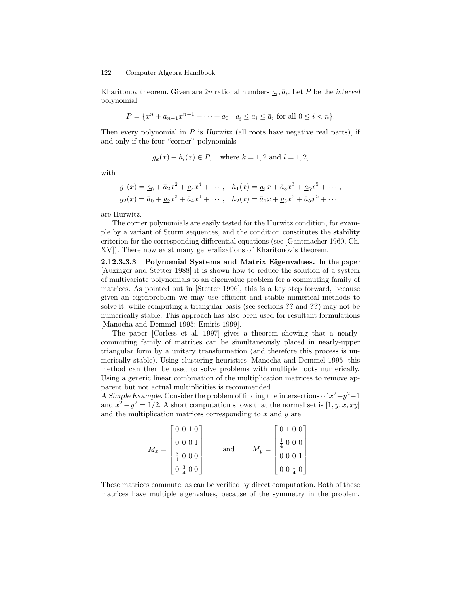Kharitonov theorem. Given are  $2n$  rational numbers  $\underline{a}_i$ ,  $\overline{a}_i$ . Let P be the interval polynomial

$$
P = \{x^n + a_{n-1}x^{n-1} + \dots + a_0 \mid \underline{a_i} \le a_i \le \bar{a_i} \text{ for all } 0 \le i < n\}.
$$

Then every polynomial in  $P$  is Hurwitz (all roots have negative real parts), if and only if the four "corner" polynomials

$$
g_k(x) + h_l(x) \in P
$$
, where  $k = 1, 2$  and  $l = 1, 2$ ,

with

$$
g_1(x) = \underline{a}_0 + \bar{a}_2 x^2 + \underline{a}_4 x^4 + \cdots, \quad h_1(x) = \underline{a}_1 x + \bar{a}_3 x^3 + \underline{a}_5 x^5 + \cdots,
$$
  

$$
g_2(x) = \bar{a}_0 + \underline{a}_2 x^2 + \bar{a}_4 x^4 + \cdots, \quad h_2(x) = \bar{a}_1 x + \underline{a}_3 x^3 + \bar{a}_5 x^5 + \cdots
$$

are Hurwitz.

The corner polynomials are easily tested for the Hurwitz condition, for example by a variant of Sturm sequences, and the condition constitutes the stability criterion for the corresponding differential equations (see [Gantmacher 1960, Ch. XV]). There now exist many generalizations of Kharitonov's theorem.

2.12.3.3.3 Polynomial Systems and Matrix Eigenvalues. In the paper [Auzinger and Stetter 1988] it is shown how to reduce the solution of a system of multivariate polynomials to an eigenvalue problem for a commuting family of matrices. As pointed out in [Stetter 1996], this is a key step forward, because given an eigenproblem we may use efficient and stable numerical methods to solve it, while computing a triangular basis (see sections ?? and ??) may not be numerically stable. This approach has also been used for resultant formulations [Manocha and Demmel 1995; Emiris 1999].

The paper [Corless et al. 1997] gives a theorem showing that a nearlycommuting family of matrices can be simultaneously placed in nearly-upper triangular form by a unitary transformation (and therefore this process is numerically stable). Using clustering heuristics [Manocha and Demmel 1995] this method can then be used to solve problems with multiple roots numerically. Using a generic linear combination of the multiplication matrices to remove apparent but not actual multiplicities is recommended.

A Simple Example. Consider the problem of finding the intersections of  $x^2 + y^2 - 1$ and  $x^2 - y^2 = 1/2$ . A short computation shows that the normal set is  $[1, y, x, xy]$ and the multiplication matrices corresponding to  $x$  and  $y$  are

| $M_x =$ | 0 0 1 0             |     | $M_y =$ | $\begin{bmatrix} 0 & 1 & 0 & 0 \end{bmatrix}$                                |  |
|---------|---------------------|-----|---------|------------------------------------------------------------------------------|--|
|         | $0\ 0\ 1$           | and |         | $\frac{1}{4}$ 000                                                            |  |
|         | $\frac{3}{4}$ 0 0 0 |     |         | $0\ 0\ 0\ 1$                                                                 |  |
|         | $10\frac{3}{4}00$   |     |         | $\left[\begin{smallmatrix} 0 & 0 & \frac{1}{4} & 0 \end{smallmatrix}\right]$ |  |

These matrices commute, as can be verified by direct computation. Both of these matrices have multiple eigenvalues, because of the symmetry in the problem.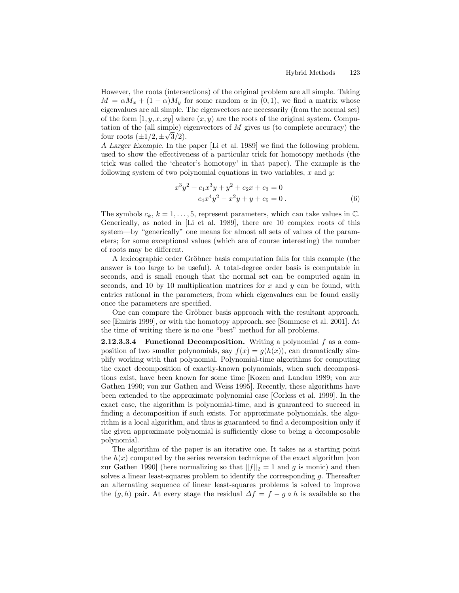However, the roots (intersections) of the original problem are all simple. Taking  $M = \alpha M_x + (1 - \alpha) M_y$  for some random  $\alpha$  in  $(0, 1)$ , we find a matrix whose eigenvalues are all simple. The eigenvectors are necessarily (from the normal set) of the form  $[1, y, x, xy]$  where  $(x, y)$  are the roots of the original system. Computation of the (all simple) eigenvectors of M gives us (to complete accuracy) the four roots  $(\pm 1/2, \pm \sqrt{3}/2)$ .

A Larger Example. In the paper [Li et al. 1989] we find the following problem, used to show the effectiveness of a particular trick for homotopy methods (the trick was called the 'cheater's homotopy' in that paper). The example is the following system of two polynomial equations in two variables,  $x$  and  $y$ :

$$
x^{3}y^{2} + c_{1}x^{3}y + y^{2} + c_{2}x + c_{3} = 0
$$
  

$$
c_{4}x^{4}y^{2} - x^{2}y + y + c_{5} = 0.
$$
 (6)

The symbols  $c_k$ ,  $k = 1, \ldots, 5$ , represent parameters, which can take values in  $\mathbb{C}$ . Generically, as noted in [Li et al. 1989], there are 10 complex roots of this system—by "generically" one means for almost all sets of values of the parameters; for some exceptional values (which are of course interesting) the number of roots may be different.

A lexicographic order Gröbner basis computation fails for this example (the answer is too large to be useful). A total-degree order basis is computable in seconds, and is small enough that the normal set can be computed again in seconds, and 10 by 10 multiplication matrices for  $x$  and  $y$  can be found, with entries rational in the parameters, from which eigenvalues can be found easily once the parameters are specified.

One can compare the Gröbner basis approach with the resultant approach, see [Emiris 1999], or with the homotopy approach, see [Sommese et al. 2001]. At the time of writing there is no one "best" method for all problems.

2.12.3.3.4 Functional Decomposition. Writing a polynomial f as a composition of two smaller polynomials, say  $f(x) = g(h(x))$ , can dramatically simplify working with that polynomial. Polynomial-time algorithms for computing the exact decomposition of exactly-known polynomials, when such decompositions exist, have been known for some time [Kozen and Landau 1989; von zur Gathen 1990; von zur Gathen and Weiss 1995]. Recently, these algorithms have been extended to the approximate polynomial case [Corless et al. 1999]. In the exact case, the algorithm is polynomial-time, and is guaranteed to succeed in finding a decomposition if such exists. For approximate polynomials, the algorithm is a local algorithm, and thus is guaranteed to find a decomposition only if the given approximate polynomial is sufficiently close to being a decomposable polynomial.

The algorithm of the paper is an iterative one. It takes as a starting point the  $h(x)$  computed by the series reversion technique of the exact algorithm [von zur Gathen 1990] (here normalizing so that  $||f||_2 = 1$  and g is monic) and then solves a linear least-squares problem to identify the corresponding  $g$ . Thereafter an alternating sequence of linear least-squares problems is solved to improve the  $(g, h)$  pair. At every stage the residual  $\Delta f = f - g \circ h$  is available so the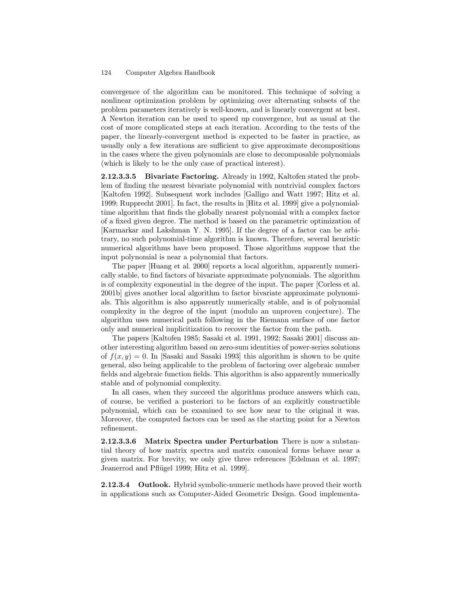convergence of the algorithm can be monitored. This technique of solving a nonlinear optimization problem by optimizing over alternating subsets of the problem parameters iteratively is well-known, and is linearly convergent at best. A Newton iteration can be used to speed up convergence, but as usual at the cost of more complicated steps at each iteration. According to the tests of the paper, the linearly-convergent method is expected to be faster in practice, as usually only a few iterations are sufficient to give approximate decompositions in the cases where the given polynomials are close to decomposable polynomials (which is likely to be the only case of practical interest).

2.12.3.3.5 Bivariate Factoring. Already in 1992, Kaltofen stated the problem of finding the nearest bivariate polynomial with nontrivial complex factors [Kaltofen 1992]. Subsequent work includes [Galligo and Watt 1997; Hitz et al. 1999; Rupprecht 2001]. In fact, the results in [Hitz et al. 1999] give a polynomialtime algorithm that finds the globally nearest polynomial with a complex factor of a fixed given degree. The method is based on the parametric optimization of [Karmarkar and Lakshman Y. N. 1995]. If the degree of a factor can be arbitrary, no such polynomial-time algorithm is known. Therefore, several heuristic numerical algorithms have been proposed. Those algorithms suppose that the input polynomial is near a polynomial that factors.

The paper [Huang et al. 2000] reports a local algorithm, apparently numerically stable, to find factors of bivariate approximate polynomials. The algorithm is of complexity exponential in the degree of the input. The paper [Corless et al. 2001b] gives another local algorithm to factor bivariate approximate polynomials. This algorithm is also apparently numerically stable, and is of polynomial complexity in the degree of the input (modulo an unproven conjecture). The algorithm uses numerical path following in the Riemann surface of one factor only and numerical implicitization to recover the factor from the path.

The papers [Kaltofen 1985; Sasaki et al. 1991, 1992; Sasaki 2001] discuss another interesting algorithm based on zero-sum identities of power-series solutions of  $f(x, y) = 0$ . In [Sasaki and Sasaki 1993] this algorithm is shown to be quite general, also being applicable to the problem of factoring over algebraic number fields and algebraic function fields. This algorithm is also apparently numerically stable and of polynomial complexity.

In all cases, when they succeed the algorithms produce answers which can, of course, be verified a posteriori to be factors of an explicitly constructible polynomial, which can be examined to see how near to the original it was. Moreover, the computed factors can be used as the starting point for a Newton refinement.

2.12.3.3.6 Matrix Spectra under Perturbation There is now a substantial theory of how matrix spectra and matrix canonical forms behave near a given matrix. For brevity, we only give three references [Edelman et al. 1997; Jeanerrod and Pflügel 1999; Hitz et al. 1999].

2.12.3.4 Outlook. Hybrid symbolic-numeric methods have proved their worth in applications such as Computer-Aided Geometric Design. Good implementa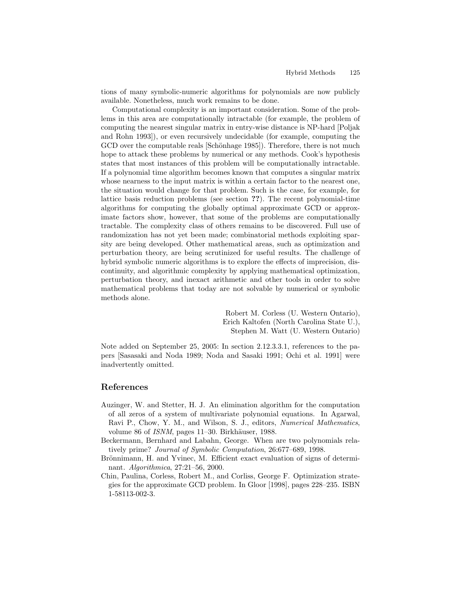tions of many symbolic-numeric algorithms for polynomials are now publicly available. Nonetheless, much work remains to be done.

Computational complexity is an important consideration. Some of the problems in this area are computationally intractable (for example, the problem of computing the nearest singular matrix in entry-wise distance is NP-hard [Poljak and Rohn 1993]), or even recursively undecidable (for example, computing the GCD over the computable reals [Schönhage 1985]). Therefore, there is not much hope to attack these problems by numerical or any methods. Cook's hypothesis states that most instances of this problem will be computationally intractable. If a polynomial time algorithm becomes known that computes a singular matrix whose nearness to the input matrix is within a certain factor to the nearest one, the situation would change for that problem. Such is the case, for example, for lattice basis reduction problems (see section ??). The recent polynomial-time algorithms for computing the globally optimal approximate GCD or approximate factors show, however, that some of the problems are computationally tractable. The complexity class of others remains to be discovered. Full use of randomization has not yet been made; combinatorial methods exploiting sparsity are being developed. Other mathematical areas, such as optimization and perturbation theory, are being scrutinized for useful results. The challenge of hybrid symbolic numeric algorithms is to explore the effects of imprecision, discontinuity, and algorithmic complexity by applying mathematical optimization, perturbation theory, and inexact arithmetic and other tools in order to solve mathematical problems that today are not solvable by numerical or symbolic methods alone.

> Robert M. Corless (U. Western Ontario), Erich Kaltofen (North Carolina State U.), Stephen M. Watt (U. Western Ontario)

Note added on September 25, 2005: In section 2.12.3.3.1, references to the papers [Sasasaki and Noda 1989; Noda and Sasaki 1991; Ochi et al. 1991] were inadvertently omitted.

# References

- Auzinger, W. and Stetter, H. J. An elimination algorithm for the computation of all zeros of a system of multivariate polynomial equations. In Agarwal, Ravi P., Chow, Y. M., and Wilson, S. J., editors, Numerical Mathematics, volume 86 of  $ISNM$ , pages 11–30. Birkhäuser, 1988.
- Beckermann, Bernhard and Labahn, George. When are two polynomials relatively prime? Journal of Symbolic Computation, 26:677–689, 1998.
- Brönnimann, H. and Yvinec, M. Efficient exact evaluation of signs of determinant. Algorithmica, 27:21–56, 2000.
- Chin, Paulina, Corless, Robert M., and Corliss, George F. Optimization strategies for the approximate GCD problem. In Gloor [1998], pages 228–235. ISBN 1-58113-002-3.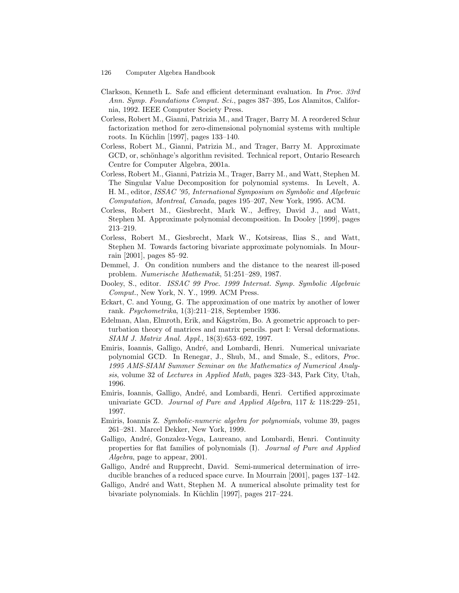- 126 Computer Algebra Handbook
- Clarkson, Kenneth L. Safe and efficient determinant evaluation. In Proc. 33rd Ann. Symp. Foundations Comput. Sci., pages 387–395, Los Alamitos, California, 1992. IEEE Computer Society Press.
- Corless, Robert M., Gianni, Patrizia M., and Trager, Barry M. A reordered Schur factorization method for zero-dimensional polynomial systems with multiple roots. In Küchlin [1997], pages  $133-140$ .
- Corless, Robert M., Gianni, Patrizia M., and Trager, Barry M. Approximate GCD, or, schönhage's algorithm revisited. Technical report, Ontario Research Centre for Computer Algebra, 2001a.
- Corless, Robert M., Gianni, Patrizia M., Trager, Barry M., and Watt, Stephen M. The Singular Value Decomposition for polynomial systems. In Levelt, A. H. M., editor, ISSAC '95, International Symposium on Symbolic and Algebraic Computation, Montreal, Canada, pages 195–207, New York, 1995. ACM.
- Corless, Robert M., Giesbrecht, Mark W., Jeffrey, David J., and Watt, Stephen M. Approximate polynomial decomposition. In Dooley [1999], pages 213–219.
- Corless, Robert M., Giesbrecht, Mark W., Kotsireas, Ilias S., and Watt, Stephen M. Towards factoring bivariate approximate polynomials. In Mourrain [2001], pages 85–92.
- Demmel, J. On condition numbers and the distance to the nearest ill-posed problem. Numerische Mathematik, 51:251–289, 1987.
- Dooley, S., editor. ISSAC 99 Proc. 1999 Internat. Symp. Symbolic Algebraic Comput., New York, N. Y., 1999. ACM Press.
- Eckart, C. and Young, G. The approximation of one matrix by another of lower rank. Psychometrika, 1(3):211–218, September 1936.
- Edelman, Alan, Elmroth, Erik, and Kågström, Bo. A geometric approach to perturbation theory of matrices and matrix pencils. part I: Versal deformations. SIAM J. Matrix Anal. Appl., 18(3):653–692, 1997.
- Emiris, Ioannis, Galligo, Andr´e, and Lombardi, Henri. Numerical univariate polynomial GCD. In Renegar, J., Shub, M., and Smale, S., editors, Proc. 1995 AMS-SIAM Summer Seminar on the Mathematics of Numerical Analysis, volume 32 of Lectures in Applied Math, pages 323–343, Park City, Utah, 1996.
- Emiris, Ioannis, Galligo, Andr´e, and Lombardi, Henri. Certified approximate univariate GCD. Journal of Pure and Applied Algebra, 117 & 118:229–251, 1997.
- Emiris, Ioannis Z. Symbolic-numeric algebra for polynomials, volume 39, pages 261–281. Marcel Dekker, New York, 1999.
- Galligo, André, Gonzalez-Vega, Laureano, and Lombardi, Henri. Continuity properties for flat families of polynomials (I). Journal of Pure and Applied Algebra, page to appear, 2001.
- Galligo, André and Rupprecht, David. Semi-numerical determination of irreducible branches of a reduced space curve. In Mourrain [2001], pages 137–142.
- Galligo, André and Watt, Stephen M. A numerical absolute primality test for bivariate polynomials. In Küchlin [1997], pages 217–224.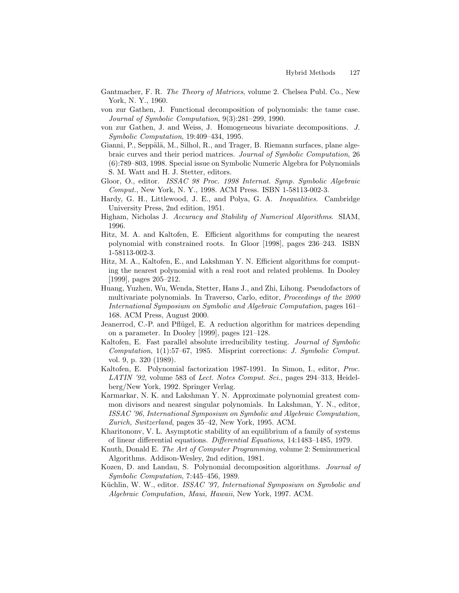- Gantmacher, F. R. The Theory of Matrices, volume 2. Chelsea Publ. Co., New York, N. Y., 1960.
- von zur Gathen, J. Functional decomposition of polynomials: the tame case. Journal of Symbolic Computation, 9(3):281–299, 1990.
- von zur Gathen, J. and Weiss, J. Homogeneous bivariate decompositions. J. Symbolic Computation, 19:409–434, 1995.
- Gianni, P., Seppälä, M., Silhol, R., and Trager, B. Riemann surfaces, plane algebraic curves and their period matrices. Journal of Symbolic Computation, 26 (6):789–803, 1998. Special issue on Symbolic Numeric Algebra for Polynomials S. M. Watt and H. J. Stetter, editors.
- Gloor, O., editor. ISSAC 98 Proc. 1998 Internat. Symp. Symbolic Algebraic Comput., New York, N. Y., 1998. ACM Press. ISBN 1-58113-002-3.
- Hardy, G. H., Littlewood, J. E., and Polya, G. A. Inequalities. Cambridge University Press, 2nd edition, 1951.
- Higham, Nicholas J. Accuracy and Stability of Numerical Algorithms. SIAM, 1996.
- Hitz, M. A. and Kaltofen, E. Efficient algorithms for computing the nearest polynomial with constrained roots. In Gloor [1998], pages 236–243. ISBN 1-58113-002-3.
- Hitz, M. A., Kaltofen, E., and Lakshman Y. N. Efficient algorithms for computing the nearest polynomial with a real root and related problems. In Dooley [1999], pages 205–212.
- Huang, Yuzhen, Wu, Wenda, Stetter, Hans J., and Zhi, Lihong. Pseudofactors of multivariate polynomials. In Traverso, Carlo, editor, Proceedings of the 2000 International Symposium on Symbolic and Algebraic Computation, pages 161– 168. ACM Press, August 2000.
- Jeanerrod, C.-P. and Pflügel, E. A reduction algorithm for matrices depending on a parameter. In Dooley [1999], pages 121–128.
- Kaltofen, E. Fast parallel absolute irreducibility testing. Journal of Symbolic Computation, 1(1):57–67, 1985. Misprint corrections: J. Symbolic Comput. vol. 9, p. 320 (1989).
- Kaltofen, E. Polynomial factorization 1987-1991. In Simon, I., editor, Proc. LATIN '92, volume 583 of Lect. Notes Comput. Sci., pages 294-313, Heidelberg/New York, 1992. Springer Verlag.
- Karmarkar, N. K. and Lakshman Y. N. Approximate polynomial greatest common divisors and nearest singular polynomials. In Lakshman, Y. N., editor, ISSAC '96, International Symposium on Symbolic and Algebraic Computation, Zurich, Switzerland, pages 35–42, New York, 1995. ACM.
- Kharitononv, V. L. Asymptotic stability of an equilibrium of a family of systems of linear differential equations. Differential Equations, 14:1483–1485, 1979.
- Knuth, Donald E. The Art of Computer Programming, volume 2: Seminumerical Algorithms. Addison-Wesley, 2nd edition, 1981.
- Kozen, D. and Landau, S. Polynomial decomposition algorithms. Journal of Symbolic Computation, 7:445–456, 1989.
- Küchlin, W. W., editor. ISSAC '97, International Symposium on Symbolic and Algebraic Computation, Maui, Hawaii, New York, 1997. ACM.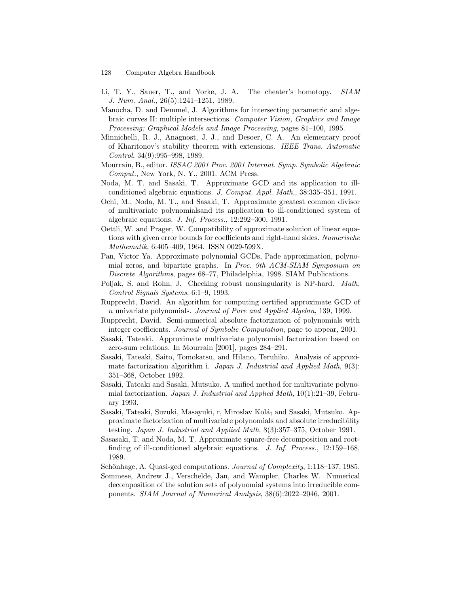- 128 Computer Algebra Handbook
- Li, T. Y., Sauer, T., and Yorke, J. A. The cheater's homotopy. SIAM J. Num. Anal., 26(5):1241–1251, 1989.
- Manocha, D. and Demmel, J. Algorithms for intersecting parametric and algebraic curves II: multiple intersections. Computer Vision, Graphics and Image Processing: Graphical Models and Image Processing, pages 81–100, 1995.
- Minnichelli, R. J., Anagnost, J. J., and Desoer, C. A. An elementary proof of Kharitonov's stability theorem with extensions. IEEE Trans. Automatic Control, 34(9):995–998, 1989.
- Mourrain, B., editor. ISSAC 2001 Proc. 2001 Internat. Symp. Symbolic Algebraic Comput., New York, N. Y., 2001. ACM Press.
- Noda, M. T. and Sasaki, T. Approximate GCD and its application to illconditioned algebraic equations. J. Comput. Appl. Math., 38:335–351, 1991.
- Ochi, M., Noda, M. T., and Sasaki, T. Approximate greatest common divisor of multivariate polynomialsand its application to ill-conditioned system of algebraic equations. J. Inf. Process., 12:292–300, 1991.
- Oettli, W. and Prager, W. Compatibility of approximate solution of linear equations with given error bounds for coefficients and right-hand sides. Numerische Mathematik, 6:405–409, 1964. ISSN 0029-599X.
- Pan, Victor Ya. Approximate polynomial GCDs, Pade approximation, polynomial zeros, and bipartite graphs. In Proc. 9th ACM-SIAM Symposium on Discrete Algorithms, pages 68–77, Philadelphia, 1998. SIAM Publications.
- Poljak, S. and Rohn, J. Checking robust nonsingularity is NP-hard. Math. Control Signals Systems, 6:1–9, 1993.
- Rupprecht, David. An algorithm for computing certified approximate GCD of n univariate polynomials. Journal of Pure and Applied Algebra, 139, 1999.
- Rupprecht, David. Semi-numerical absolute factorization of polynomials with integer coefficients. Journal of Symbolic Computation, page to appear, 2001.
- Sasaki, Tateaki. Approximate multivariate polynomial factorization based on zero-sum relations. In Mourrain [2001], pages 284–291.
- Sasaki, Tateaki, Saito, Tomokatsu, and Hilano, Teruhiko. Analysis of approximate factorization algorithm i. Japan J. Industrial and Applied Math, 9(3): 351–368, October 1992.
- Sasaki, Tateaki and Sasaki, Mutsuko. A unified method for multivariate polynomial factorization. *Japan J. Industrial and Applied Math*,  $10(1):21-39$ , February 1993.
- Sasaki, Tateaki, Suzuki, Masayuki, r, Miroslav Kolá<sub>č</sub> and Sasaki, Mutsuko. Approximate factorization of multivariate polynomials and absolute irreducibility testing. Japan J. Industrial and Applied Math, 8(3):357–375, October 1991.
- Sasasaki, T. and Noda, M. T. Approximate square-free decomposition and rootfinding of ill-conditioned algebraic equations. J. Inf. Process., 12:159–168, 1989.
- Schönhage, A. Quasi-gcd computations. *Journal of Complexity*, 1:118–137, 1985.
- Sommese, Andrew J., Verschelde, Jan, and Wampler, Charles W. Numerical decomposition of the solution sets of polynomial systems into irreducible components. SIAM Journal of Numerical Analysis, 38(6):2022–2046, 2001.